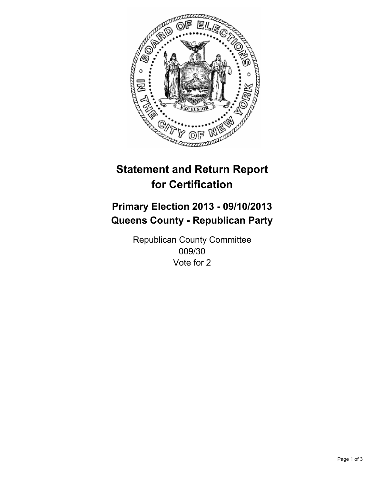

# **Statement and Return Report for Certification**

## **Primary Election 2013 - 09/10/2013 Queens County - Republican Party**

Republican County Committee 009/30 Vote for 2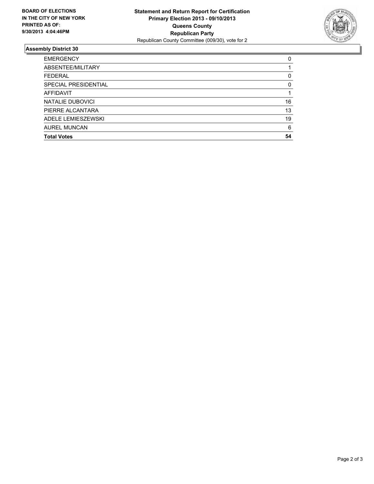

### **Assembly District 30**

| <b>EMERGENCY</b>     | 0  |
|----------------------|----|
| ABSENTEE/MILITARY    |    |
| <b>FEDERAL</b>       | 0  |
| SPECIAL PRESIDENTIAL | 0  |
| AFFIDAVIT            |    |
| NATALIE DUBOVICI     | 16 |
| PIERRE ALCANTARA     | 13 |
| ADELE LEMIESZEWSKI   | 19 |
| <b>AUREL MUNCAN</b>  | 6  |
| <b>Total Votes</b>   | 54 |